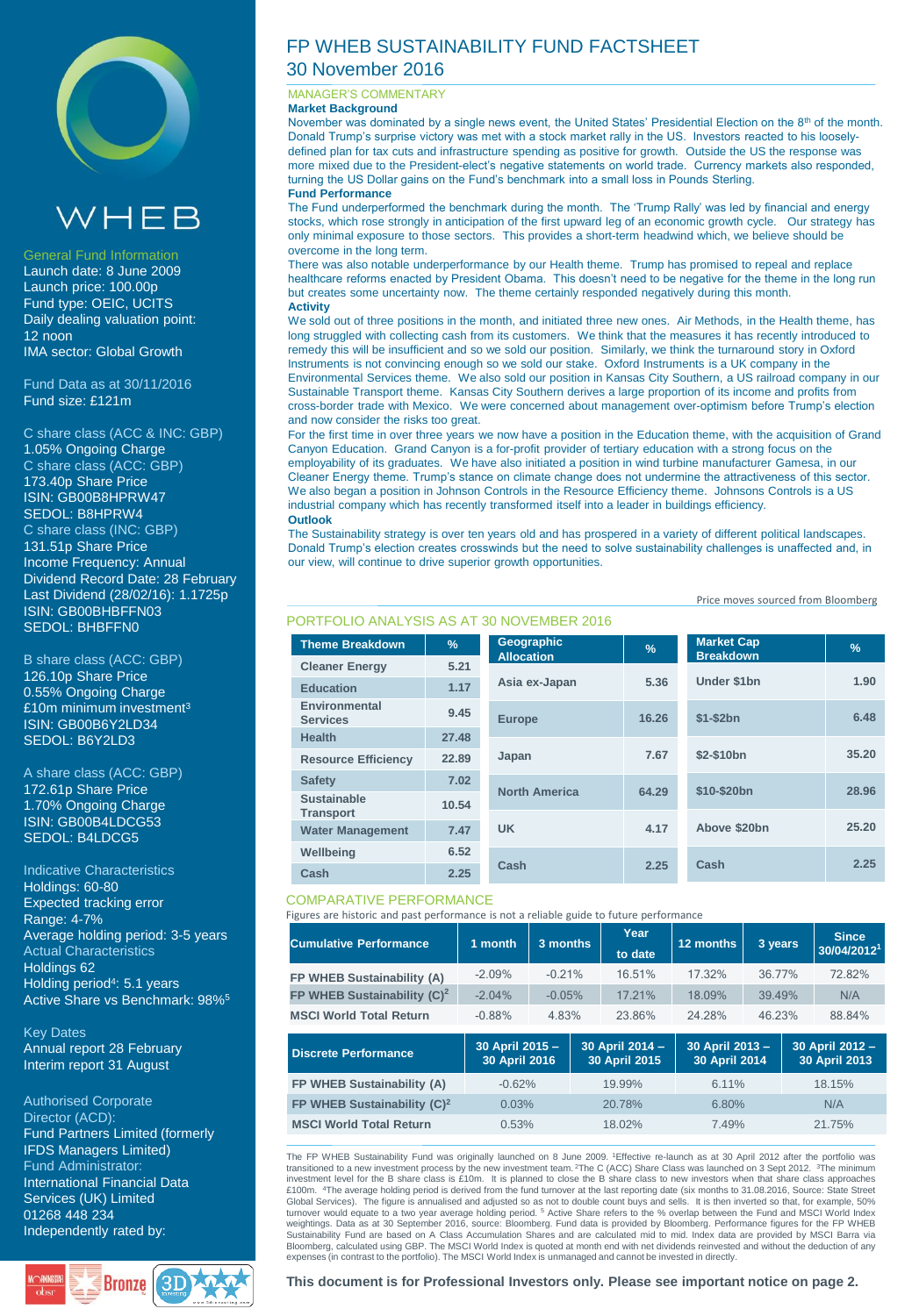



### General Fund Information

Launch date: 8 June 2009 Launch price: 100.00p Fund type: OEIC, UCITS Daily dealing valuation point: 12 noon IMA sector: Global Growth

Fund Data as at 30/11/2016 Fund size: £121m

C share class (ACC & INC: GBP) 1.05% Ongoing Charge C share class (ACC: GBP) 173.40p Share Price ISIN: GB00B8HPRW47 SEDOL: B8HPRW4 C share class (INC: GBP) 131.51p Share Price Income Frequency: Annual Dividend Record Date: 28 February Last Dividend (28/02/16): 1.1725p ISIN: GB00BHBFFN03 SEDOL: BHBFFN0

B share class (ACC: GBP) 126.10p Share Price 0.55% Ongoing Charge £10m minimum investment<sup>3</sup> ISIN: GB00B6Y2LD34 SEDOL: B6Y2LD3

A share class (ACC: GBP) 172.61p Share Price 1.70% Ongoing Charge ISIN: GB00B4LDCG53 SEDOL: B4LDCG5

Indicative Characteristics Holdings: 60-80 Expected tracking error Range: 4-7% Average holding period: 3-5 years Actual Characteristics Holdings 62 Holding period<sup>4</sup>: 5.1 years Active Share vs Benchmark: 98%<sup>5</sup>

Key Dates Annual report 28 February Interim report 31 August

Authorised Corporate Director (ACD): Fund Partners Limited (formerly IFDS Managers Limited) Fund Administrator: International Financial Data Services (UK) Limited 01268 448 234 Independently rated by:



# FP WHEB SUSTAINABILITY FUND FACTSHEET 30 November 2016

### MANAGER'S COMMENTARY

**Market Background**

November was dominated by a single news event, the United States' Presidential Election on the 8th of the month. Donald Trump's surprise victory was met with a stock market rally in the US. Investors reacted to his looselydefined plan for tax cuts and infrastructure spending as positive for growth. Outside the US the response was more mixed due to the President-elect's negative statements on world trade. Currency markets also responded, turning the US Dollar gains on the Fund's benchmark into a small loss in Pounds Sterling. **Fund Performance**

The Fund underperformed the benchmark during the month. The 'Trump Rally' was led by financial and energy stocks, which rose strongly in anticipation of the first upward leg of an economic growth cycle. Our strategy has only minimal exposure to those sectors. This provides a short-term headwind which, we believe should be overcome in the long term.

There was also notable underperformance by our Health theme. Trump has promised to repeal and replace healthcare reforms enacted by President Obama. This doesn't need to be negative for the theme in the long run but creates some uncertainty now. The theme certainly responded negatively during this month. **Activity**

We sold out of three positions in the month, and initiated three new ones. Air Methods, in the Health theme, has long struggled with collecting cash from its customers. We think that the measures it has recently introduced to remedy this will be insufficient and so we sold our position. Similarly, we think the turnaround story in Oxford Instruments is not convincing enough so we sold our stake. Oxford Instruments is a UK company in the Environmental Services theme. We also sold our position in Kansas City Southern, a US railroad company in our Sustainable Transport theme. Kansas City Southern derives a large proportion of its income and profits from cross-border trade with Mexico. We were concerned about management over-optimism before Trump's election and now consider the risks too great.

For the first time in over three years we now have a position in the Education theme, with the acquisition of Grand Canyon Education. Grand Canyon is a for-profit provider of tertiary education with a strong focus on the employability of its graduates. We have also initiated a position in wind turbine manufacturer Gamesa, in our Cleaner Energy theme. Trump's stance on climate change does not undermine the attractiveness of this sector. We also began a position in Johnson Controls in the Resource Efficiency theme. Johnsons Controls is a US industrial company which has recently transformed itself into a leader in buildings efficiency. **Outlook**

The Sustainability strategy is over ten years old and has prospered in a variety of different political landscapes. Donald Trump's election creates crosswinds but the need to solve sustainability challenges is unaffected and, in our view, will continue to drive superior growth opportunities.

#### Price moves sourced from Bloomberg

|  | <b>Theme Breakdown</b>           | $\frac{9}{6}$ | <b>Geographic</b><br><b>Allocation</b> | $\frac{9}{6}$ | <b>Market Cap</b><br><b>Breakdown</b> | $\frac{9}{6}$ |
|--|----------------------------------|---------------|----------------------------------------|---------------|---------------------------------------|---------------|
|  | <b>Cleaner Energy</b>            | 5.21          |                                        | 5.36          | Under \$1bn                           | 1.90          |
|  | <b>Education</b>                 | 1.17          | Asia ex-Japan                          |               |                                       |               |
|  | Environmental<br><b>Services</b> | 9.45          | <b>Europe</b>                          | 16.26         | $$1-\$2bn$                            | 6.48          |
|  | <b>Health</b>                    | 27.48         |                                        |               |                                       |               |
|  | <b>Resource Efficiency</b>       | 22.89         | Japan                                  | 7.67          | \$2-\$10bn                            | 35.20         |
|  | <b>Safety</b>                    | 7.02          |                                        | 64.29         | \$10-\$20bn                           | 28.96         |
|  | <b>Sustainable</b>               | 10.54         | <b>North America</b>                   |               |                                       |               |
|  | <b>Transport</b>                 |               |                                        |               |                                       |               |
|  | <b>Water Management</b>          | 7.47          | <b>UK</b>                              | 4.17          | Above \$20bn                          | 25.20         |
|  | Wellbeing                        | 6.52          |                                        | 2.25          | Cash                                  | 2.25          |
|  | Cash                             | 2.25          | Cash                                   |               |                                       |               |

## PORTFOLIO ANALYSIS AS AT 30 NOVEMBER 2016

### COMPARATIVE PERFORMANCE

Figures are historic and past performance is not a reliable guide to future performance

| <b>Cumulative Performance</b>  | 1 month  | 3 months | Year<br>to date | 12 months | 3 years | <b>Since</b><br>30/04/2012 <sup>1</sup> |
|--------------------------------|----------|----------|-----------------|-----------|---------|-----------------------------------------|
| FP WHEB Sustainability (A)     | $-2.09%$ | $-0.21%$ | 16.51%          | 17 32%    | 36 77%  | 72.82%                                  |
| FP WHEB Sustainability $(C)^2$ | $-2.04%$ | $-0.05%$ | 17 21%          | 18.09%    | 39.49%  | N/A                                     |
| <b>MSCI World Total Return</b> | $-0.88%$ | 4.83%    | 23.86%          | 24 28%    | 46.23%  | 88.84%                                  |

| Discrete Performance                    | 30 April 2015 -<br>30 April 2016 | 30 April 2014 -<br>30 April 2015 | 30 April 2013 -<br>30 April 2014 | 30 April 2012 -<br>30 April 2013 |
|-----------------------------------------|----------------------------------|----------------------------------|----------------------------------|----------------------------------|
| FP WHEB Sustainability (A)              | $-0.62%$                         | 19.99%                           | 6.11%                            | 18.15%                           |
| FP WHEB Sustainability (C) <sup>2</sup> | 0.03%                            | 20.78%                           | 6.80%                            | N/A                              |
| <b>MSCI World Total Return</b>          | 0.53%                            | 18.02%                           | 7.49%                            | 21.75%                           |

The FP WHEB Sustainability Fund was originally launched on 8 June 2009. <sup>1</sup>Effective re-launch as at 30 April 2012 after the portfolio was transitioned to a new investment process by the new investment team. <sup>2</sup>The C (ACC) Share Class was launched on 3 Sept 2012. <sup>3</sup>The minimum investment level for the B share class is £10m. It is planned to close the B share class to new investors when that share class approaches<br>£100m. "The average holding period is derived from the fund turnover at the last re Global Services). The figure is annualised and adjusted so as not to double count buys and sells. It is then inverted so that, for example, 50%<br>turnover would equate to a two year average holding period. <sup>5</sup> Active Share Sustainability Fund are based on A Class Accumulation Shares and are calculated mid to mid. Index data are provided by MSCI Barra via<br>Bloomberg, calculated using GBP. The MSCI World Index is quoted at month end with net di expenses (in contrast to the portfolio). The MSCI World Index is unmanaged and cannot be invested in directly.

**This document is for Professional Investors only. Please see important notice on page 2.**